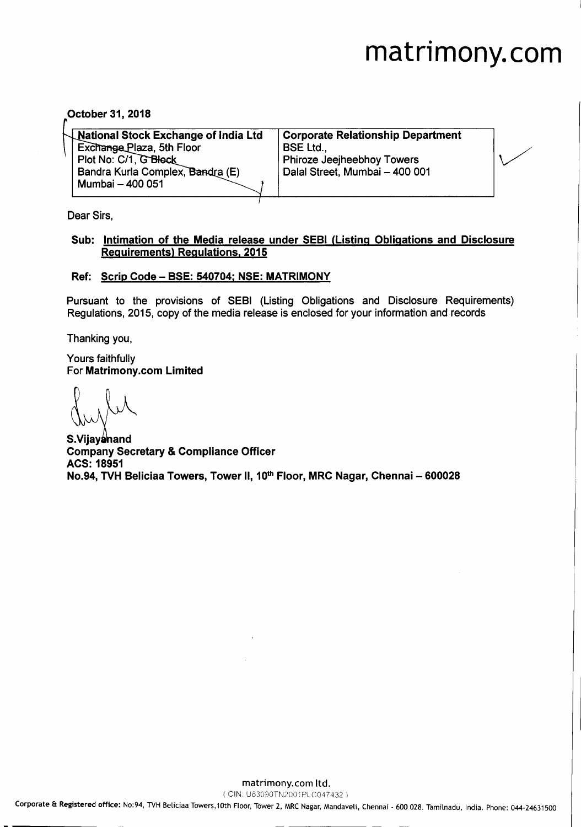# **matrimony.com**

October 31,2018

| $\downarrow$ National Stock Exchange of India Ltd | Corporate Relationship Department |  |
|---------------------------------------------------|-----------------------------------|--|
| Exchange Plaza, 5th Floor                         | <b>BSE Ltd</b>                    |  |
| Plot No: C/1, G Block                             | Phiroze Jeejheebhoy Towers        |  |
| Bandra Kurla Complex, Bandra (E)                  | Dalal Street, Mumbai - 400 001    |  |
| Mumbai - 400 051                                  |                                   |  |
|                                                   |                                   |  |

Dear Sirs,

#### Sub: Intimation of the Media release under SEBI (Listing Obligations and Disclosure Requirements) Regulations. 2015

#### Ref: Scrip Code - BSE: 540704; NSE: MATRIMONY

Pursuant to the provisions of SEBI (Listing Obligations and Disclosure Requirements) Regulations, 2015, copy of the media release is enclosed for your information and records

Thanking you,

Yours faithfully For Matrimony.com Limited

s~d: Company Secretary & Compliance Officer ACS: 18951 No.94, TVH Beliciaa Towers, Tower II, 10<sup>th</sup> Floor, MRC Nagar, Chennai - 600028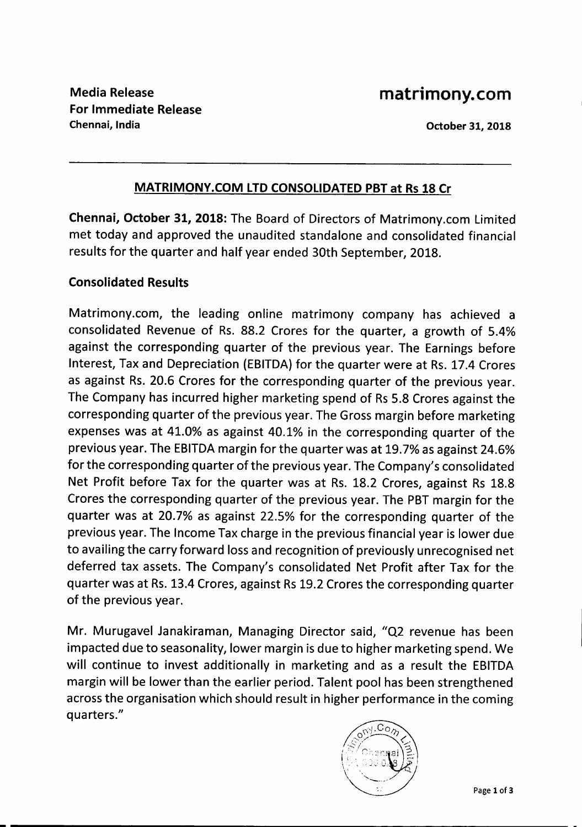#### October 31, 2018

## MATRIMONY.COM LTD CONSOLIDATED PBT at Rs 18 Cr

Chennai, October 31, 2018: The Board of Directors of Matrimony.com Limited met today and approved the unaudited standalone and consolidated financial results for the quarter and half year ended 30th September, 2018.

### Consolidated Results

Matrimony.com, the leading online matrimony company has achieved a consolidated Revenue of Rs. 88.2 Crores for the quarter, a growth of 5.4% against the corresponding quarter of the previous year. The Earnings before Interest, Tax and Depreciation (EBITDA) for the quarter were at Rs. 17.4 Crores as against Rs. 20.6 Crores for the corresponding quarter of the previous year. The Company has incurred higher marketing spend of Rs5.8 Crores against the corresponding quarter of the previous year. The Gross margin before marketing expenses was at 41.0% as against 40.1% in the corresponding quarter of the previous year. The EBITDA margin for the quarter was at 19.7% as against 24.6% for the corresponding quarter of the previous year. The Company's consolidated Net Profit before Tax for the quarter was at Rs. 18.2 Crores, against Rs 18.8 Crores the corresponding quarter of the previous year. The PBT margin for the quarter was at 20.7% as against 22.5% for the corresponding quarter of the previous year. The Income Tax charge in the previous financial year is lower due to availing the carry forward loss and recognition of previously unrecognised net deferred tax assets. The Company's consolidated Net Profit after Tax for the quarter was at Rs. 13.4 Crores, against Rs19.2 Crores the corresponding quarter of the previous year.

Mr. Murugavel Janakiraman, Managing Director said, "Q2 revenue has been impacted due to seasonality, lower margin is due to higher marketing spend. We will continue to invest additionally in marketing and as a result the EBITDA margin will be lower than the earlier period. Talent pool has been strengthened across the organisation which should result in higher performance in the coming quarters."

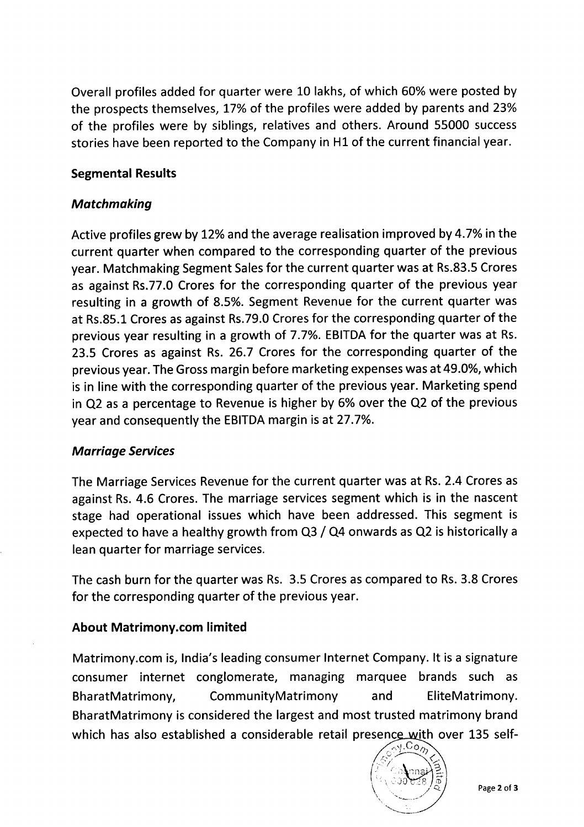Overall profiles added for quarter were 10 lakhs, of which 60% were posted by the prospects themselves, 17% of the profiles were added by parents and 23% of the profiles were by siblings, relatives and others. Around 55000 success stories have been reported to the Company in H1 of the current financial year.

# Segmental Results

## *Matchmaking*

Active profiles grew by 12% and the average realisation improved by 4.7% in the current quarter when compared to the corresponding quarter of the previous year. Matchmaking Segment Sales for the current quarter was at Rs.83.5 Crores as against Rs.77.0 Crores for the corresponding quarter of the previous year resulting in a growth of 8.5%. Segment Revenue for the current quarter was at Rs.85.1 Crores as against Rs.79.0 Crores for the corresponding quarter of the previous year resulting in a growth of 7.7%. EBITDA for the quarter was at Rs. 23.5 Crores as against Rs. 26.7 Crores for the corresponding quarter of the previous year. The Gross margin before marketing expenses was at 49.0%, which is in line with the corresponding quarter of the previous year. Marketing spend in Q2 as a percentage to Revenue is higher by 6% over the Q2 of the previous year and consequently the EBITDAmargin is at 27.7%.

# *Marriage Services*

The Marriage Services Revenue for the current quarter was at Rs. 2.4 Crores as against Rs. 4.6 Crores. The marriage services segment which is in the nascent stage had operational issues which have been addressed. This segment is expected to have a healthy growth from Q3 / Q4 onwards as Q2 is historically a lean quarter for marriage services.

The cash burn for the quarter was Rs. 3.5 Crores as compared to Rs.3.8 Crores for the corresponding quarter of the previous year.

# About Matrimony.com limited

Matrimony.com is, India's leading consumer Internet Company. It is a signature consumer internet conglomerate, managing marquee brands such as BharatMatrimony, CommunityMatrimony and EliteMatrimony. BharatMatrimony is considered the largest and most trusted matrimony brand which has also established a considerable retail presence with over 135 self-